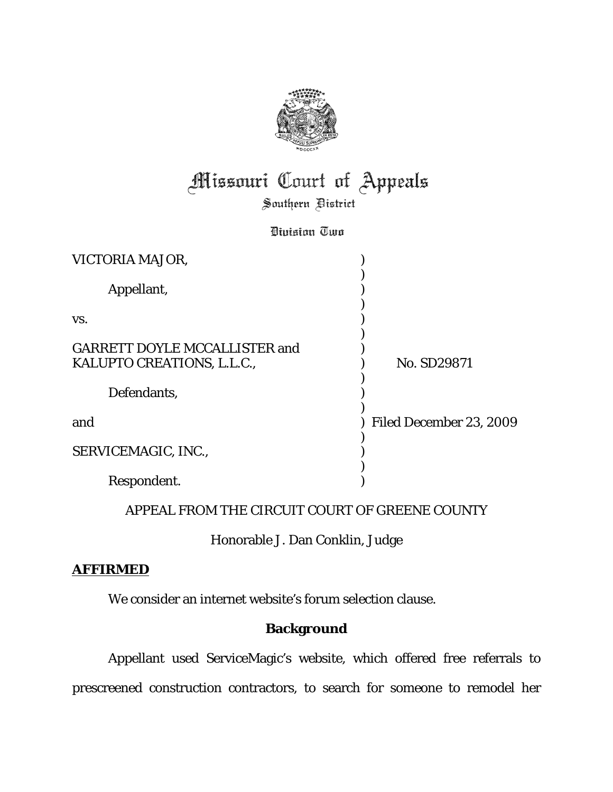

# **Missouri Court of Appeals**

Southern Bistrict

Division Two

| VICTORIA MAJOR,                      |                         |
|--------------------------------------|-------------------------|
| Appellant,                           |                         |
| VS.                                  |                         |
| <b>GARRETT DOYLE MCCALLISTER and</b> |                         |
| KALUPTO CREATIONS, L.L.C.,           | No. SD29871             |
| Defendants,                          |                         |
| and                                  | Filed December 23, 2009 |
| SERVICEMAGIC, INC.,                  |                         |
| Respondent.                          |                         |

## APPEAL FROM THE CIRCUIT COURT OF GREENE COUNTY

Honorable J. Dan Conklin, Judge

## **AFFIRMED**

We consider an internet website's forum selection clause.

# **Background**

Appellant used ServiceMagic's website, which offered free referrals to prescreened construction contractors, to search for someone to remodel her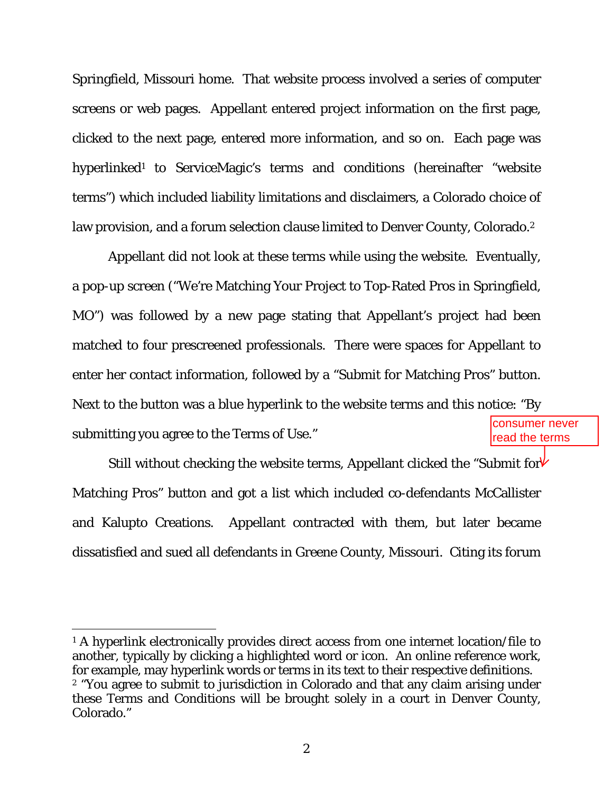Springfield, Missouri home. That website process involved a series of computer screens or web pages. Appellant entered project information on the first page, clicked to the next page, entered more information, and so on. Each page was hyperlinked<sup>1</sup> to ServiceMagic's terms and conditions (hereinafter "website terms") which included liability limitations and disclaimers, a Colorado choice of law provision, and a forum selection clause limited to Denver County, Colorado.<sup>2</sup>

Appellant did not look at these terms while using the website. Eventually, a pop-up screen ("We're Matching Your Project to Top-Rated Pros in Springfield, MO") was followed by a new page stating that Appellant's project had been matched to four prescreened professionals. There were spaces for Appellant to enter her contact information, followed by a "Submit for Matching Pros" button. Next to the button was a blue hyperlink to the website terms and this notice: "By submitting you agree to the Terms of Use." consumer never read the terms

Still without checking the website terms, Appellant clicked the "Submit for $V$ Matching Pros" button and got a list which included co-defendants McCallister and Kalupto Creations. Appellant contracted with them, but later became dissatisfied and sued all defendants in Greene County, Missouri. Citing its forum

<sup>&</sup>lt;sup>1</sup> A hyperlink electronically provides direct access from one internet location/file to another, typically by clicking a highlighted word or icon. An online reference work, for example, may hyperlink words or terms in its text to their respective definitions. 2 "You agree to submit to jurisdiction in Colorado and that any claim arising under these Terms and Conditions will be brought solely in a court in Denver County, Colorado."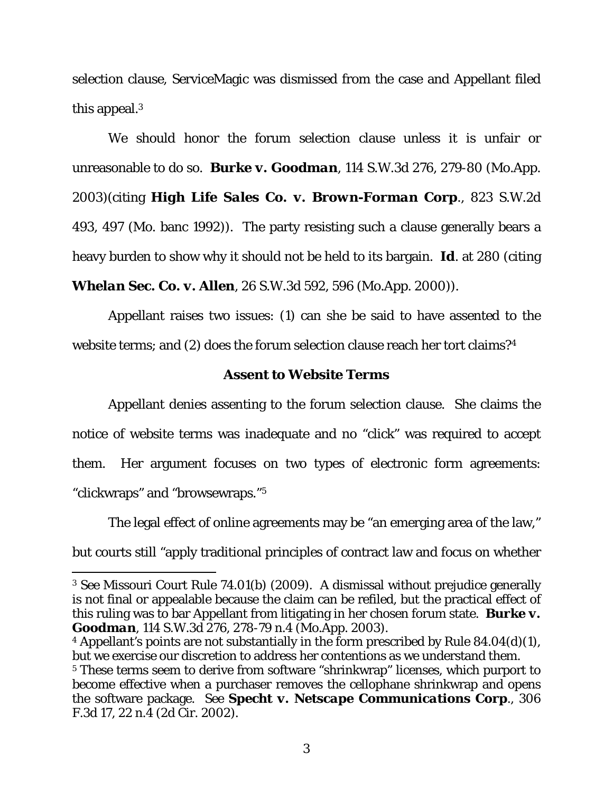selection clause, ServiceMagic was dismissed from the case and Appellant filed this appeal.3

We should honor the forum selection clause unless it is unfair or unreasonable to do so. *Burke v. Goodman*, 114 S.W.3d 276, 279-80 (Mo.App. 2003)(citing *High Life Sales Co. v. Brown-Forman Corp*., 823 S.W.2d 493, 497 (Mo. banc 1992)). The party resisting such a clause generally bears a heavy burden to show why it should not be held to its bargain. *Id*. at 280 (citing

*Whelan Sec. Co. v. Allen*, 26 S.W.3d 592, 596 (Mo.App. 2000)).

Appellant raises two issues: (1) can she be said to have assented to the website terms; and (2) does the forum selection clause reach her tort claims?<sup>4</sup>

### **Assent to Website Terms**

Appellant denies assenting to the forum selection clause. She claims the notice of website terms was inadequate and no "click" was required to accept them. Her argument focuses on two types of electronic form agreements: "clickwraps" and "browsewraps."5

The legal effect of online agreements may be "an emerging area of the law," but courts still "apply traditional principles of contract law and focus on whether

<sup>3</sup> *See* Missouri Court Rule 74.01(b) (2009). A dismissal without prejudice generally is not final or appealable because the claim can be refiled, but the practical effect of this ruling was to bar Appellant from litigating in her chosen forum state. *Burke v. Goodman*, 114 S.W.3d 276, 278-79 n.4 (Mo.App. 2003).

<sup>&</sup>lt;sup>4</sup> Appellant's points are not substantially in the form prescribed by Rule  $84.04(d)(1)$ , but we exercise our discretion to address her contentions as we understand them.

<sup>&</sup>lt;sup>5</sup> These terms seem to derive from software "shrinkwrap" licenses, which purport to become effective when a purchaser removes the cellophane shrinkwrap and opens the software package. *See Specht v. Netscape Communications Corp.,* 306 F.3d 17, 22 n.4 (2d Cir. 2002).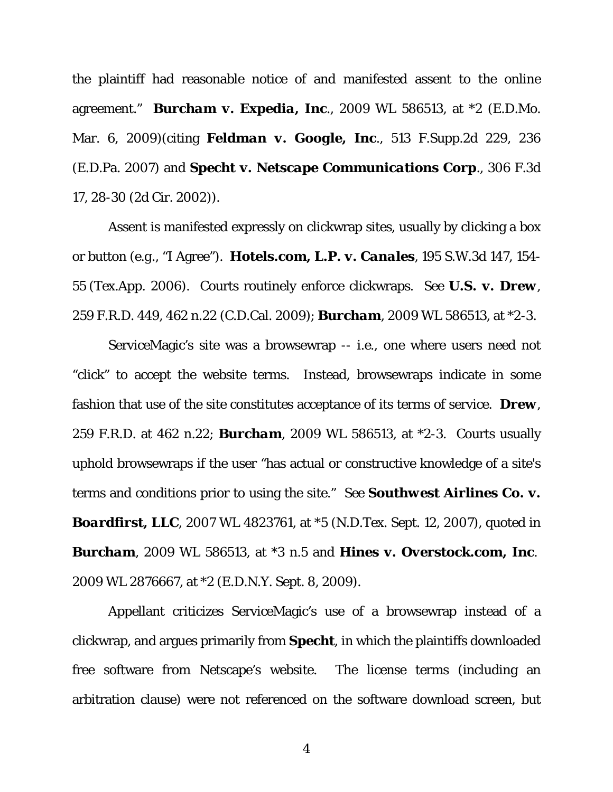the plaintiff had reasonable notice of and manifested assent to the online agreement." *Burcham v. Expedia, Inc.,* 2009 WL 586513, at \*2 (E.D.Mo. Mar. 6, 2009)(citing *Feldman v. Google, Inc.,* 513 F.Supp.2d 229, 236 (E.D.Pa. 2007) and *Specht v. Netscape Communications Corp.,* 306 F.3d 17, 28-30 (2d Cir. 2002)).

Assent is manifested expressly on clickwrap sites, usually by clicking a box or button (*e.g*., "I Agree"). *Hotels.com, L.P. v. Canales*, 195 S.W.3d 147, 154- 55 (Tex.App. 2006). Courts routinely enforce clickwraps. *See U.S. v. Drew*, 259 F.R.D. 449, 462 n.22 (C.D.Cal. 2009); *Burcham,* 2009 WL 586513, at \*2-3.

ServiceMagic's site was a browsewrap -- *i.e*., one where users need not "click" to accept the website terms. Instead, browsewraps indicate in some fashion that use of the site constitutes acceptance of its terms of service. *Drew*, 259 F.R.D. at 462 n.22; *Burcham,* 2009 WL 586513, at \*2-3. Courts usually uphold browsewraps if the user "has actual or constructive knowledge of a site's terms and conditions prior to using the site." *See Southwest Airlines Co. v. Boardfirst, LLC,* 2007 WL 4823761, at \*5 (N.D.Tex. Sept. 12, 2007), *quoted in Burcham,* 2009 WL 586513, at \*3 n.5 and *Hines v. Overstock.com, Inc*. 2009 WL 2876667, at \*2 (E.D.N.Y. Sept. 8, 2009).

Appellant criticizes ServiceMagic's use of a browsewrap instead of a clickwrap, and argues primarily from *Specht*, in which the plaintiffs downloaded free software from Netscape's website. The license terms (including an arbitration clause) were not referenced on the software download screen, but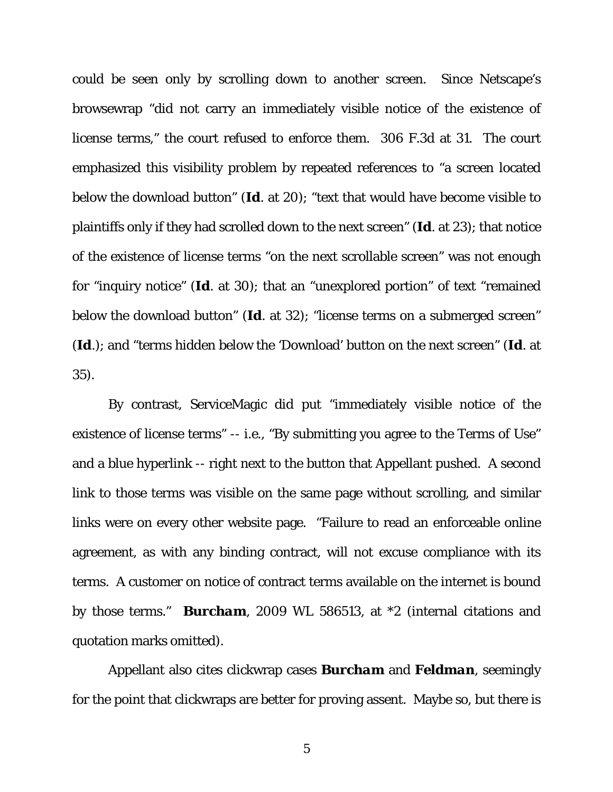could be seen only by scrolling down to another screen. Since Netscape's browsewrap "did not carry an immediately visible notice of the existence of license terms," the court refused to enforce them. 306 F.3d at 31. The court emphasized this visibility problem by repeated references to "a screen located below the download button" (*Id*. at 20); "text that would have become visible to plaintiffs only if they had scrolled down to the next screen" (*Id*. at 23); that notice of the existence of license terms "on the next scrollable screen" was not enough for "inquiry notice" (*Id*. at 30); that an "unexplored portion" of text "remained below the download button" (*Id*. at 32); "license terms on a submerged screen" (*Id*.); and "terms hidden below the 'Download' button on the next screen" (*Id*. at 35).

By contrast, ServiceMagic *did* put "immediately visible notice of the existence of license terms" -- *i.e*., "By submitting you agree to the Terms of Use" and a blue hyperlink -- right next to the button that Appellant pushed. A second link to those terms was visible on the same page without scrolling, and similar links were on every other website page. "Failure to read an enforceable online agreement, as with any binding contract, will not excuse compliance with its terms. A customer on notice of contract terms available on the internet is bound by those terms." *Burcham,* 2009 WL 586513, at \*2 (internal citations and quotation marks omitted).

Appellant also cites clickwrap cases *Burcham* and *Feldman*, seemingly for the point that clickwraps are better for proving assent. Maybe so, but there is

5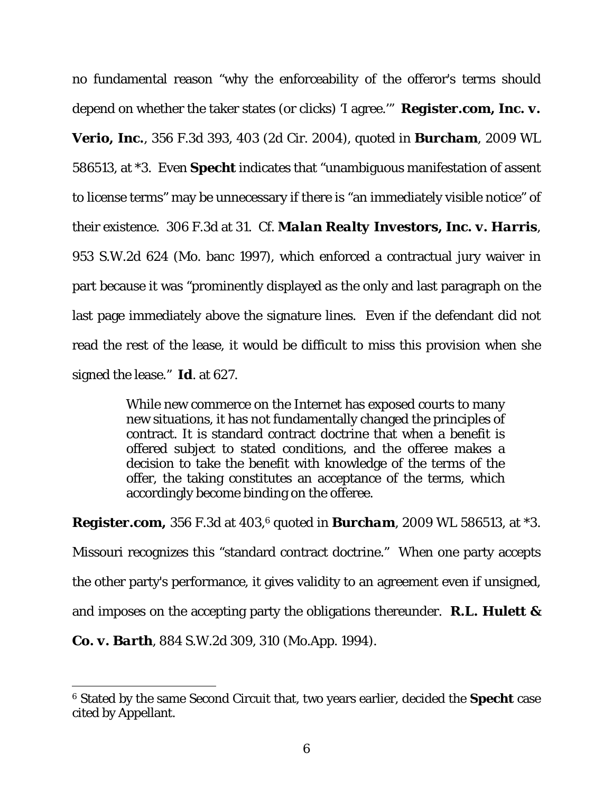no fundamental reason "why the enforceability of the offeror's terms should depend on whether the taker states (or clicks) 'I agree.'" *Register.com, Inc. v. Verio, Inc.,* 356 F.3d 393, 403 (2d Cir. 2004), *quoted in Burcham*, 2009 WL 586513, at \*3. Even *Specht* indicates that "unambiguous manifestation of assent to license terms" may be unnecessary if there is "an immediately visible notice" of their existence. 306 F.3d at 31. *Cf. Malan Realty Investors, Inc. v. Harris*, 953 S.W.2d 624 (Mo. banc 1997), which enforced a contractual jury waiver in part because it was "prominently displayed as the only and last paragraph on the last page immediately above the signature lines. Even if the defendant did not read the rest of the lease, it would be difficult to miss this provision when she signed the lease." *Id*. at 627.

> While new commerce on the Internet has exposed courts to many new situations, it has not fundamentally changed the principles of contract. It is standard contract doctrine that when a benefit is offered subject to stated conditions, and the offeree makes a decision to take the benefit with knowledge of the terms of the offer, the taking constitutes an acceptance of the terms, which accordingly become binding on the offeree.

*Register.com,* 356 F.3d at 403,6 *quoted in Burcham*, 2009 WL 586513, at \*3. Missouri recognizes this "standard contract doctrine." When one party accepts the other party's performance, it gives validity to an agreement even if unsigned, and imposes on the accepting party the obligations thereunder. *R.L. Hulett &* 

*Co. v. Barth*, 884 S.W.2d 309, 310 (Mo.App. 1994).

 $\overline{a}$ 6 Stated by the same Second Circuit that, two years earlier, decided the *Specht* case cited by Appellant.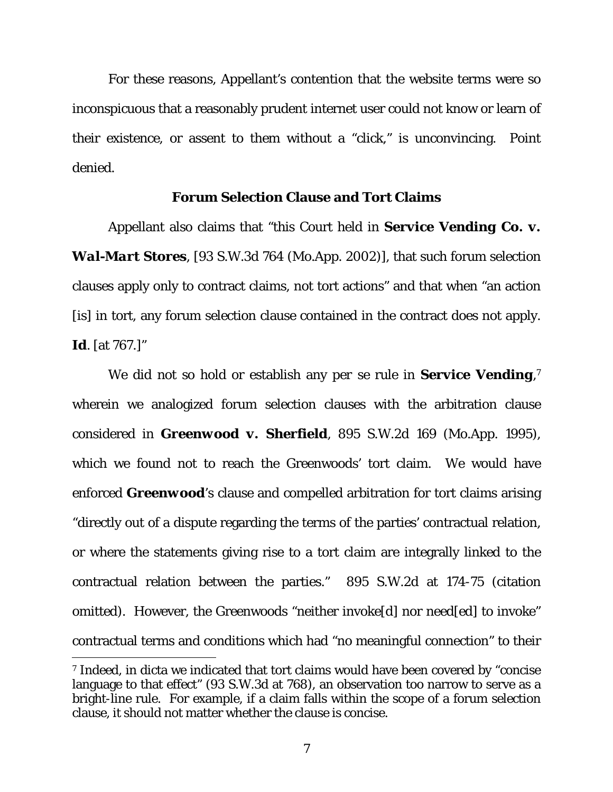For these reasons, Appellant's contention that the website terms were so inconspicuous that a reasonably prudent internet user could not know or learn of their existence, or assent to them without a "click," is unconvincing. Point denied.

### **Forum Selection Clause and Tort Claims**

 Appellant also claims that "this Court held in *Service Vending Co. v. Wal-Mart Stores*, [93 S.W.3d 764 (Mo.App. 2002)], that such forum selection clauses apply only to contract claims, not tort actions" and that when "an action [is] in tort, any forum selection clause contained in the contract does not apply. *Id*. [at 767.]"

We did not so hold or establish any *per se* rule in *Service Vending*, 7 wherein we analogized forum selection clauses with the arbitration clause considered in *Greenwood v. Sherfield*, 895 S.W.2d 169 (Mo.App. 1995), which we found not to reach the Greenwoods' tort claim. We would have enforced *Greenwood*'s clause and compelled arbitration for tort claims arising "directly out of a dispute regarding the terms of the parties' contractual relation, or where the statements giving rise to a tort claim are integrally linked to the contractual relation between the parties." 895 S.W.2d at 174-75 (citation omitted). However, the Greenwoods "neither invoke[d] nor need[ed] to invoke" contractual terms and conditions which had "no meaningful connection" to their

<sup>7</sup> Indeed, in dicta we indicated that tort claims would have been covered by "concise language to that effect" (93 S.W.3d at 768), an observation too narrow to serve as a bright-line rule. For example, if a claim falls within the scope of a forum selection clause, it should not matter whether the clause is concise.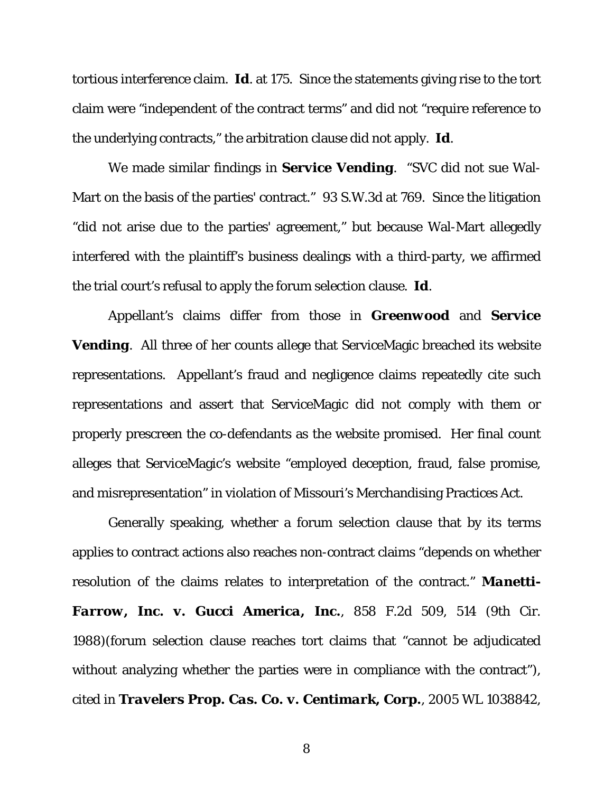tortious interference claim. *Id*. at 175. Since the statements giving rise to the tort claim were "independent of the contract terms" and did not "require reference to the underlying contracts," the arbitration clause did not apply. *Id*.

We made similar findings in *Service Vending*. "SVC did not sue Wal-Mart on the basis of the parties' contract." 93 S.W.3d at 769. Since the litigation "did not arise due to the parties' agreement," but because Wal-Mart allegedly interfered with the plaintiff's business dealings with a third-party, we affirmed the trial court's refusal to apply the forum selection clause. *Id*.

Appellant's claims differ from those in *Greenwood* and *Service Vending*. All three of her counts allege that ServiceMagic breached its website representations. Appellant's fraud and negligence claims repeatedly cite such representations and assert that ServiceMagic did not comply with them or properly prescreen the co-defendants as the website promised. Her final count alleges that ServiceMagic's website "employed deception, fraud, false promise, and misrepresentation" in violation of Missouri's Merchandising Practices Act.

Generally speaking, whether a forum selection clause that by its terms applies to contract actions also reaches non-contract claims "depends on whether resolution of the claims relates to interpretation of the contract." *Manetti-Farrow, Inc. v. Gucci America, Inc.,* 858 F.2d 509, 514 (9th Cir. 1988)(forum selection clause reaches tort claims that "cannot be adjudicated without analyzing whether the parties were in compliance with the contract"), *cited in Travelers Prop. Cas. Co. v. Centimark, Corp.,* 2005 WL 1038842,

8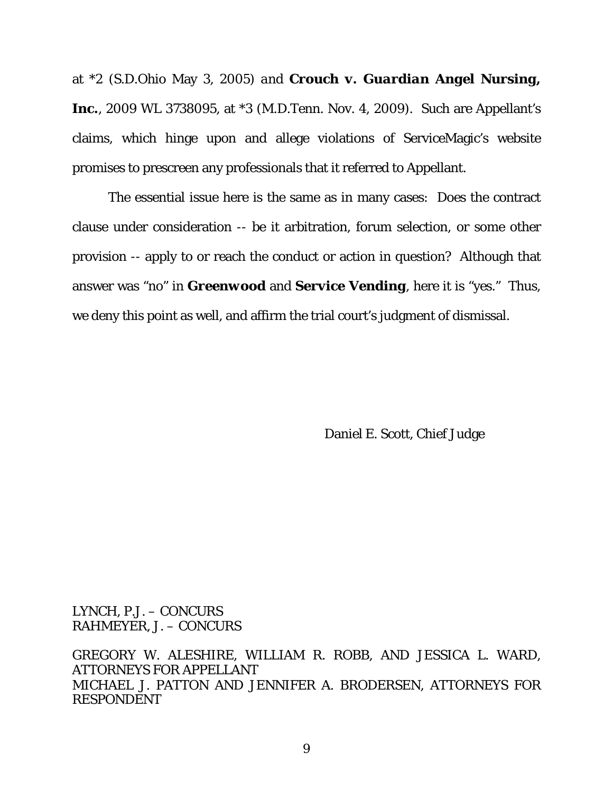at \*2 (S.D.Ohio May 3, 2005) *and Crouch v. Guardian Angel Nursing, Inc.*, 2009 WL 3738095, at \*3 (M.D.Tenn. Nov. 4, 2009). Such are Appellant's claims, which hinge upon and allege violations of ServiceMagic's website promises to prescreen any professionals that it referred to Appellant.

The essential issue here is the same as in many cases: Does the contract clause under consideration -- be it arbitration, forum selection, or some other provision -- apply to or reach the conduct or action in question? Although that answer was "no" in *Greenwood* and *Service Vending*, here it is "yes." Thus, we deny this point as well, and affirm the trial court's judgment of dismissal.

Daniel E. Scott, Chief Judge

LYNCH, P.J. – CONCURS RAHMEYER, J. – CONCURS

GREGORY W. ALESHIRE, WILLIAM R. ROBB, AND JESSICA L. WARD, ATTORNEYS FOR APPELLANT MICHAEL J. PATTON AND JENNIFER A. BRODERSEN, ATTORNEYS FOR RESPONDENT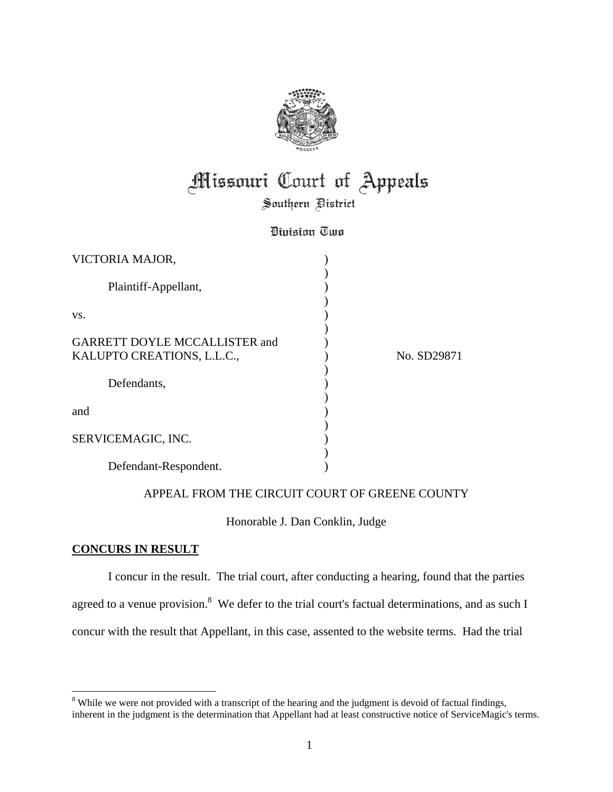

# **Missouri Court of Appeals**

Southern Bistrict

### Division Two

| VICTORIA MAJOR,                                                    |             |
|--------------------------------------------------------------------|-------------|
| Plaintiff-Appellant,                                               |             |
| VS.                                                                |             |
| <b>GARRETT DOYLE MCCALLISTER and</b><br>KALUPTO CREATIONS, L.L.C., | No. SD29871 |
| Defendants,                                                        |             |
| and                                                                |             |
| SERVICEMAGIC, INC.                                                 |             |
| Defendant-Respondent.                                              |             |

### APPEAL FROM THE CIRCUIT COURT OF GREENE COUNTY

### Honorable J. Dan Conklin, Judge

### **CONCURS IN RESULT**

I concur in the result. The trial court, after conducting a hearing, found that the parties agreed to a venue provision.<sup>8</sup> We defer to the trial court's factual determinations, and as such I concur with the result that Appellant, in this case, assented to the website terms. Had the trial

<sup>&</sup>lt;sup>8</sup> While we were not provided with a transcript of the hearing and the judgment is devoid of factual findings, inherent in the judgment is the determination that Appellant had at least constructive notice of ServiceMagic's terms.